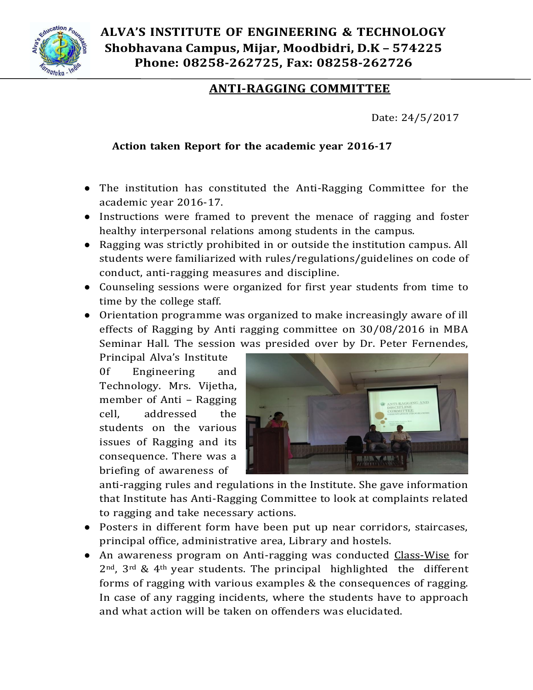

**ALVA'S INSTITUTE OF ENGINEERING & TECHNOLOGY Shobhavana Campus, Mijar, Moodbidri, D.K – 574225 Phone: 08258-262725, Fax: 08258-262726**

## **ANTI-RAGGING COMMITTEE**

Date: 24/5/2017

## **Action taken Report for the academic year 2016-17**

- The institution has constituted the Anti-Ragging Committee for the academic year 2016-17.
- Instructions were framed to prevent the menace of ragging and foster healthy interpersonal relations among students in the campus.
- Ragging was strictly prohibited in or outside the institution campus. All students were familiarized with rules/regulations/guidelines on code of conduct, anti-ragging measures and discipline.
- Counseling sessions were organized for first year students from time to time by the college staff.
- Orientation programme was organized to make increasingly aware of ill effects of Ragging by Anti ragging committee on 30/08/2016 in MBA Seminar Hall. The session was presided over by Dr. Peter Fernendes,

Principal Alva's Institute 0f Engineering and Technology. Mrs. Vijetha, member of Anti – Ragging cell, addressed the students on the various issues of Ragging and its consequence. There was a briefing of awareness of



anti-ragging rules and regulations in the Institute. She gave information that Institute has Anti-Ragging Committee to look at complaints related to ragging and take necessary actions.

- Posters in different form have been put up near corridors, staircases, principal office, administrative area, Library and hostels.
- An awareness program on Anti-ragging was conducted Class-Wise for  $2<sup>nd</sup>$ ,  $3<sup>rd</sup>$  &  $4<sup>th</sup>$  year students. The principal highlighted the different forms of ragging with various examples & the consequences of ragging. In case of any ragging incidents, where the students have to approach and what action will be taken on offenders was elucidated.